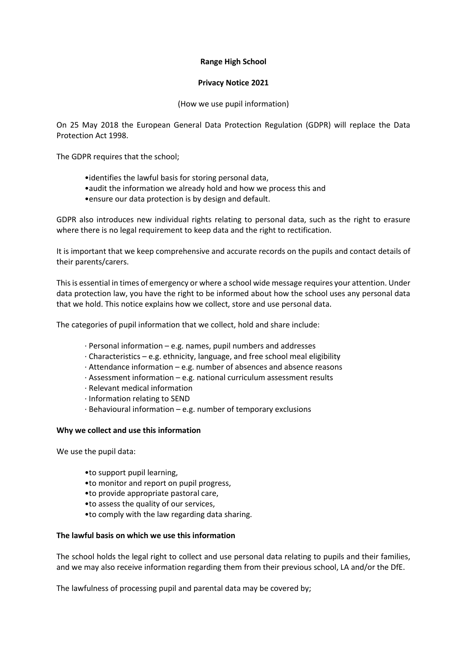# **Range High School**

### **Privacy Notice 2021**

# (How we use pupil information)

On 25 May 2018 the European General Data Protection Regulation (GDPR) will replace the Data Protection Act 1998.

The GDPR requires that the school;

- •identifies the lawful basis for storing personal data,
- •audit the information we already hold and how we process this and
- •ensure our data protection is by design and default.

GDPR also introduces new individual rights relating to personal data, such as the right to erasure where there is no legal requirement to keep data and the right to rectification.

It is important that we keep comprehensive and accurate records on the pupils and contact details of their parents/carers.

This is essential in times of emergency or where a school wide message requires your attention. Under data protection law, you have the right to be informed about how the school uses any personal data that we hold. This notice explains how we collect, store and use personal data.

The categories of pupil information that we collect, hold and share include:

- · Personal information e.g. names, pupil numbers and addresses
- · Characteristics e.g. ethnicity, language, and free school meal eligibility
- · Attendance information e.g. number of absences and absence reasons
- · Assessment information e.g. national curriculum assessment results
- · Relevant medical information
- · Information relating to SEND
- · Behavioural information e.g. number of temporary exclusions

### **Why we collect and use this information**

We use the pupil data:

- •to support pupil learning,
- •to monitor and report on pupil progress,
- •to provide appropriate pastoral care,
- •to assess the quality of our services,
- •to comply with the law regarding data sharing.

### **The lawful basis on which we use this information**

The school holds the legal right to collect and use personal data relating to pupils and their families, and we may also receive information regarding them from their previous school, LA and/or the DfE.

The lawfulness of processing pupil and parental data may be covered by;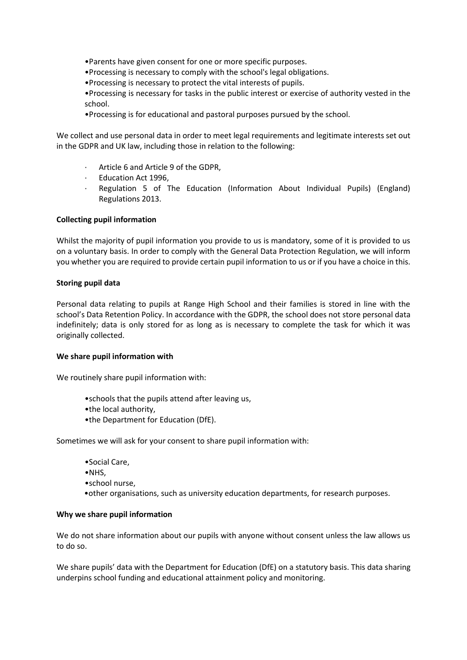•Parents have given consent for one or more specific purposes.

- •Processing is necessary to comply with the school's legal obligations.
- •Processing is necessary to protect the vital interests of pupils.
- •Processing is necessary for tasks in the public interest or exercise of authority vested in the school.
- •Processing is for educational and pastoral purposes pursued by the school.

We collect and use personal data in order to meet legal requirements and legitimate interests set out in the GDPR and UK law, including those in relation to the following:

- Article 6 and Article 9 of the GDPR,
- · Education Act 1996,
- · Regulation 5 of The Education (Information About Individual Pupils) (England) Regulations 2013.

### **Collecting pupil information**

Whilst the majority of pupil information you provide to us is mandatory, some of it is provided to us on a voluntary basis. In order to comply with the General Data Protection Regulation, we will inform you whether you are required to provide certain pupil information to us or if you have a choice in this.

### **Storing pupil data**

Personal data relating to pupils at Range High School and their families is stored in line with the school's Data Retention Policy. In accordance with the GDPR, the school does not store personal data indefinitely; data is only stored for as long as is necessary to complete the task for which it was originally collected.

### **We share pupil information with**

We routinely share pupil information with:

- •schools that the pupils attend after leaving us,
- •the local authority,
- •the Department for Education (DfE).

Sometimes we will ask for your consent to share pupil information with:

- •Social Care,
- •NHS,
- •school nurse,
- •other organisations, such as university education departments, for research purposes.

# **Why we share pupil information**

We do not share information about our pupils with anyone without consent unless the law allows us to do so.

We share pupils' data with the Department for Education (DfE) on a statutory basis. This data sharing underpins school funding and educational attainment policy and monitoring.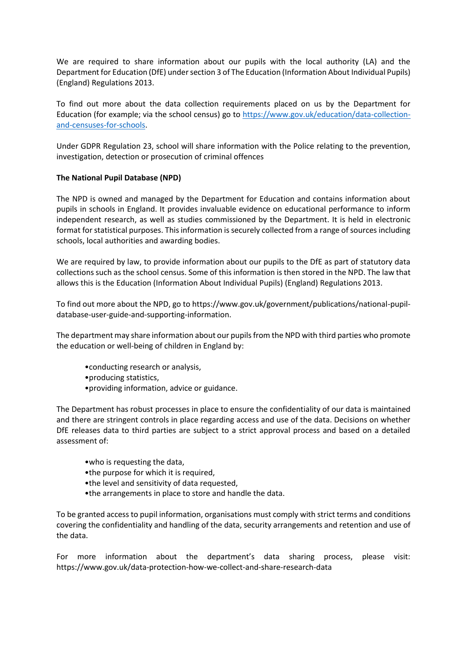We are required to share information about our pupils with the local authority (LA) and the Department for Education (DfE) under section 3 of The Education (Information About Individual Pupils) (England) Regulations 2013.

To find out more about the data collection requirements placed on us by the Department for Education (for example; via the school census) go to [https://www.gov.uk/education/data-collection](https://www.gov.uk/education/data-collection-and-censuses-for-schools)[and-censuses-for-schools.](https://www.gov.uk/education/data-collection-and-censuses-for-schools)

Under GDPR Regulation 23, school will share information with the Police relating to the prevention, investigation, detection or prosecution of criminal offences

# **The National Pupil Database (NPD)**

The NPD is owned and managed by the Department for Education and contains information about pupils in schools in England. It provides invaluable evidence on educational performance to inform independent research, as well as studies commissioned by the Department. It is held in electronic format for statistical purposes. This information is securely collected from a range of sources including schools, local authorities and awarding bodies.

We are required by law, to provide information about our pupils to the DfE as part of statutory data collections such as the school census. Some of this information is then stored in the NPD. The law that allows this is the Education (Information About Individual Pupils) (England) Regulations 2013.

To find out more about the NPD, go to https://www.gov.uk/government/publications/national-pupildatabase-user-guide-and-supporting-information.

The department may share information about our pupils from the NPD with third parties who promote the education or well-being of children in England by:

- •conducting research or analysis,
- •producing statistics,
- •providing information, advice or guidance.

The Department has robust processes in place to ensure the confidentiality of our data is maintained and there are stringent controls in place regarding access and use of the data. Decisions on whether DfE releases data to third parties are subject to a strict approval process and based on a detailed assessment of:

- •who is requesting the data,
- •the purpose for which it is required,
- •the level and sensitivity of data requested,
- •the arrangements in place to store and handle the data.

To be granted access to pupil information, organisations must comply with strict terms and conditions covering the confidentiality and handling of the data, security arrangements and retention and use of the data.

For more information about the department's data sharing process, please visit: https://www.gov.uk/data-protection-how-we-collect-and-share-research-data